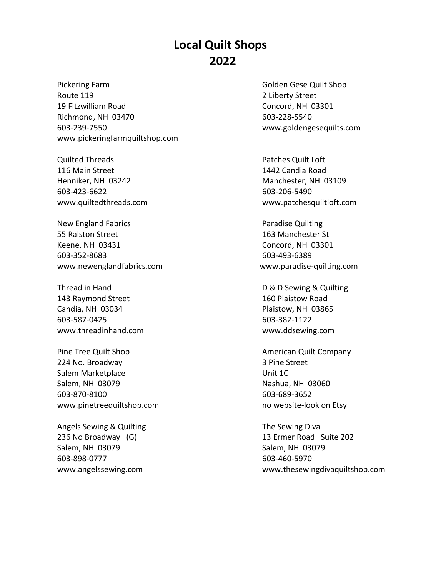## **Local Quilt Shops 2022**

Pickering Farm Golden Gese Quilt Shop Route 119 2 Liberty Street 19 Fitzwilliam Road Concord, NH 03301 Richmond, NH 03470 603-228-5540 603-239-7550 www.goldengesequilts.com www.pickeringfarmquiltshop.com

Quilted Threads Patches Quilt Loft 116 Main Street 1442 Candia Road Henniker, NH 03242 Manchester, NH 03109 603-423-6622 603-206-5490

New England Fabrics **Paradise Quilting** 55 Ralston Street 163 Manchester St Keene, NH 03431 Concord, NH 03301 603-352-8683 603-493-6389 [www.newenglandfabrics.com](http://www.newenglandfabrics.com/) www.paradise-quilting.com

143 Raymond Street 160 Plaistow Road Candia, NH 03034 Plaistow, NH 03865 603-587-0425 603-382-1122 [www.threadinhand.com](http://www.threadinhand.com/) www.ddsewing.com

Pine Tree Quilt Shop American Quilt Company 224 No. Broadway 3 Pine Street Salem Marketplace Unit 1C Salem, NH 03079 Nashua, NH 03060 603-870-8100 603-689-3652 [www.pinetreequiltshop.com](http://www.pinetreequiltshop.com/) https://www.pinetreequiltshop.com

Angels Sewing & Quilting The Sewing Diva Salem, NH 03079 Salem, NH 03079 603-898-0777 603-460-5970

www.quiltedthreads.com www.patchesquiltloft.com

Thread in Hand **D** & D Sewing & Quilting

236 No Broadway (G) 13 Ermer Road Suite 202 www.angelssewing.com www.thesewingdivaquiltshop.com